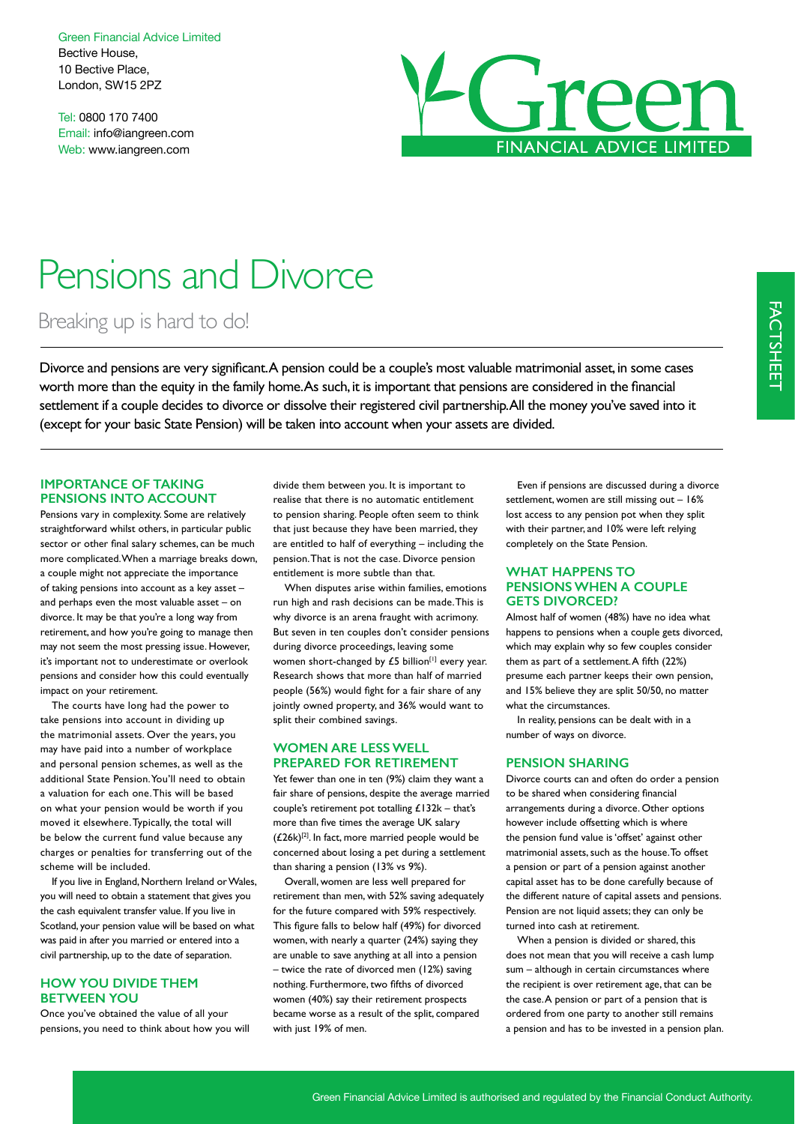Green Financial Advice Limited Bective House, 10 Bective Place, London, SW15 2PZ

Tel: 0800 170 7400 Email: info@iangreen.com Web: www.iangreen.com



# Pensions and Divorce

Breaking up is hard to do!

Divorce and pensions are very signifcant. A pension could be a couple's most valuable matrimonial asset, in some cases worth more than the equity in the family home. As such, it is important that pensions are considered in the fnancial settlement if a couple decides to divorce or dissolve their registered civil partnership. All the money you've saved into it (except for your basic State Pension) will be taken into account when your assets are divided.

## **IMPORTANCE OF TAKING PENSIONS INTO ACCOUNT**

Pensions vary in complexity. Some are relatively straightforward whilst others, in particular public sector or other fnal salary schemes, can be much more complicated. When a marriage breaks down, a couple might not appreciate the importance of taking pensions into account as a key asset – and perhaps even the most valuable asset – on divorce. It may be that you're a long way from retirement, and how you're going to manage then may not seem the most pressing issue. However, it's important not to underestimate or overlook pensions and consider how this could eventually impact on your retirement.

The courts have long had the power to take pensions into account in dividing up the matrimonial assets. Over the years, you may have paid into a number of workplace and personal pension schemes, as well as the additional State Pension. You'll need to obtain a valuation for each one. This will be based on what your pension would be worth if you moved it elsewhere. Typically, the total will be below the current fund value because any charges or penalties for transferring out of the scheme will be included.

If you live in England, Northern Ireland or Wales, you will need to obtain a statement that gives you the cash equivalent transfer value. If you live in Scotland, your pension value will be based on what was paid in after you married or entered into a civil partnership, up to the date of separation.

# **HOW YOU DIVIDE THEM BETWEEN YOU**

Once you've obtained the value of all your pensions, you need to think about how you will divide them between you. It is important to realise that there is no automatic entitlement to pension sharing. People often seem to think that just because they have been married, they are entitled to half of everything – including the pension. That is not the case. Divorce pension entitlement is more subtle than that.

When disputes arise within families, emotions run high and rash decisions can be made. This is why divorce is an arena fraught with acrimony. But seven in ten couples don't consider pensions during divorce proceedings, leaving some women short-changed by  $£5$  billion<sup>[1]</sup> every year. Research shows that more than half of married people (56%) would fght for a fair share of any jointly owned property, and 36% would want to split their combined savings.

#### **WOMEN ARE LESS WELL PREPARED FOR RETIREMENT**

Yet fewer than one in ten (9%) claim they want a fair share of pensions, despite the average married couple's retirement pot totalling  $£132k - that's$ more than five times the average UK salary  $(£26k)^{[2]}$ . In fact, more married people would be concerned about losing a pet during a settlement than sharing a pension (13% vs 9%).

Overall, women are less well prepared for retirement than men, with 52% saving adequately for the future compared with 59% respectively. This fgure falls to below half (49%) for divorced women, with nearly a quarter (24%) saying they are unable to save anything at all into a pension – twice the rate of divorced men (12%) saving nothing. Furthermore, two ffths of divorced women (40%) say their retirement prospects became worse as a result of the split, compared with just 19% of men.

Even if pensions are discussed during a divorce settlement, women are still missing out – 16% lost access to any pension pot when they split with their partner, and 10% were left relying completely on the State Pension.

## **WHAT HAPPENS TO PENSIONS WHEN A COUPLE GETS DIVORCED?**

Almost half of women (48%) have no idea what happens to pensions when a couple gets divorced, which may explain why so few couples consider them as part of a settlement. A ffth (22%) presume each partner keeps their own pension, and 15% believe they are split 50/50, no matter what the circumstances.

In reality, pensions can be dealt with in a number of ways on divorce.

#### **PENSION SHARING**

Divorce courts can and often do order a pension to be shared when considering fnancial arrangements during a divorce. Other options however include offsetting which is where the pension fund value is 'offset' against other matrimonial assets, such as the house. To offset a pension or part of a pension against another capital asset has to be done carefully because of the different nature of capital assets and pensions. Pension are not liquid assets; they can only be turned into cash at retirement.

When a pension is divided or shared, this does not mean that you will receive a cash lump sum – although in certain circumstances where the recipient is over retirement age, that can be the case. A pension or part of a pension that is ordered from one party to another still remains a pension and has to be invested in a pension plan.